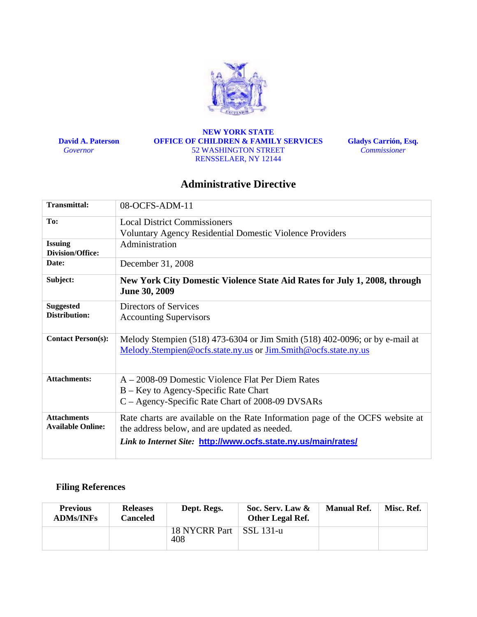

 **David A. Paterson**   *Governor* 

#### **NEW YORK STATE OFFICE OF CHILDREN & FAMILY SERVICES**  52 WASHINGTON STREET RENSSELAER, NY 12144

**Gladys Carrión, Esq.**  *Commissioner*

# **Administrative Directive**

| <b>Transmittal:</b>                            | 08-OCFS-ADM-11                                                                                                                                                                                   |
|------------------------------------------------|--------------------------------------------------------------------------------------------------------------------------------------------------------------------------------------------------|
| To:                                            | <b>Local District Commissioners</b>                                                                                                                                                              |
|                                                | <b>Voluntary Agency Residential Domestic Violence Providers</b>                                                                                                                                  |
| <b>Issuing</b><br><b>Division/Office:</b>      | Administration                                                                                                                                                                                   |
| Date:                                          | December 31, 2008                                                                                                                                                                                |
| Subject:                                       | New York City Domestic Violence State Aid Rates for July 1, 2008, through<br><b>June 30, 2009</b>                                                                                                |
| <b>Suggested</b><br>Distribution:              | Directors of Services<br><b>Accounting Supervisors</b>                                                                                                                                           |
| <b>Contact Person(s):</b>                      | Melody Stempien (518) 473-6304 or Jim Smith (518) 402-0096; or by e-mail at<br>Melody.Stempien@ocfs.state.ny.us or Jim.Smith@ocfs.state.ny.us                                                    |
| <b>Attachments:</b>                            | A – 2008-09 Domestic Violence Flat Per Diem Rates<br>B – Key to Agency-Specific Rate Chart<br>C – Agency-Specific Rate Chart of 2008-09 DVSARs                                                   |
| <b>Attachments</b><br><b>Available Online:</b> | Rate charts are available on the Rate Information page of the OCFS website at<br>the address below, and are updated as needed.<br>Link to Internet Site: http://www.ocfs.state.ny.us/main/rates/ |

# **Filing References**

| <b>Previous</b><br><b>ADMs/INFs</b> | <b>Releases</b><br>Canceled | Dept. Regs.          | Soc. Serv. Law &<br>Other Legal Ref. | <b>Manual Ref.</b> | Misc. Ref. |
|-------------------------------------|-----------------------------|----------------------|--------------------------------------|--------------------|------------|
|                                     |                             | 18 NYCRR Part<br>408 | SSL 131-u                            |                    |            |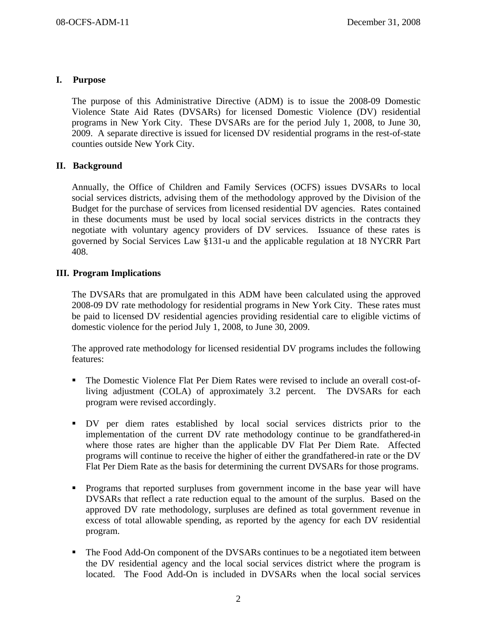# **I. Purpose**

The purpose of this Administrative Directive (ADM) is to issue the 2008-09 Domestic Violence State Aid Rates (DVSARs) for licensed Domestic Violence (DV) residential programs in New York City. These DVSARs are for the period July 1, 2008, to June 30, 2009. A separate directive is issued for licensed DV residential programs in the rest-of-state counties outside New York City.

# **II. Background**

Annually, the Office of Children and Family Services (OCFS) issues DVSARs to local social services districts, advising them of the methodology approved by the Division of the Budget for the purchase of services from licensed residential DV agencies. Rates contained in these documents must be used by local social services districts in the contracts they negotiate with voluntary agency providers of DV services. Issuance of these rates is governed by Social Services Law §131-u and the applicable regulation at 18 NYCRR Part 408.

# **III. Program Implications**

The DVSARs that are promulgated in this ADM have been calculated using the approved 2008-09 DV rate methodology for residential programs in New York City. These rates must be paid to licensed DV residential agencies providing residential care to eligible victims of domestic violence for the period July 1, 2008, to June 30, 2009.

The approved rate methodology for licensed residential DV programs includes the following features:

- The Domestic Violence Flat Per Diem Rates were revised to include an overall cost-ofliving adjustment (COLA) of approximately 3.2 percent. The DVSARs for each program were revised accordingly.
- DV per diem rates established by local social services districts prior to the implementation of the current DV rate methodology continue to be grandfathered-in where those rates are higher than the applicable DV Flat Per Diem Rate. Affected programs will continue to receive the higher of either the grandfathered-in rate or the DV Flat Per Diem Rate as the basis for determining the current DVSARs for those programs.
- **Programs that reported surpluses from government income in the base year will have** DVSARs that reflect a rate reduction equal to the amount of the surplus. Based on the approved DV rate methodology, surpluses are defined as total government revenue in excess of total allowable spending, as reported by the agency for each DV residential program.
- The Food Add-On component of the DVSARs continues to be a negotiated item between the DV residential agency and the local social services district where the program is located. The Food Add-On is included in DVSARs when the local social services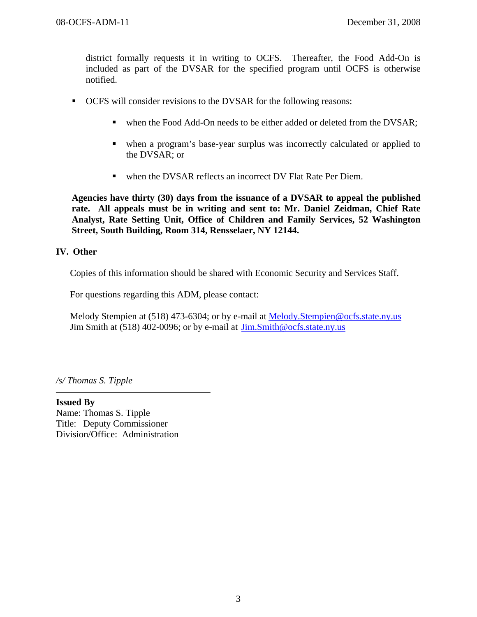district formally requests it in writing to OCFS. Thereafter, the Food Add-On is included as part of the DVSAR for the specified program until OCFS is otherwise notified.

- OCFS will consider revisions to the DVSAR for the following reasons:
	- when the Food Add-On needs to be either added or deleted from the DVSAR;
	- when a program's base-year surplus was incorrectly calculated or applied to the DVSAR; or
	- when the DVSAR reflects an incorrect DV Flat Rate Per Diem.

**Agencies have thirty (30) days from the issuance of a DVSAR to appeal the published rate. All appeals must be in writing and sent to: Mr. Daniel Zeidman, Chief Rate Analyst, Rate Setting Unit, Office of Children and Family Services, 52 Washington Street, South Building, Room 314, Rensselaer, NY 12144.** 

## **IV. Other**

Copies of this information should be shared with Economic Security and Services Staff.

For questions regarding this ADM, please contact:

Melody Stempien at (518) 473-6304; or by e-mail at Melody. Stempien@ocfs.state.ny.us Jim Smith at (518) 402-0096; or by e-mail at Jim.Smith@ocfs.state.ny.us

*/s/ Thomas S. Tipple* 

**Issued By**  Name: Thomas S. Tipple Title: Deputy Commissioner Division/Office: Administration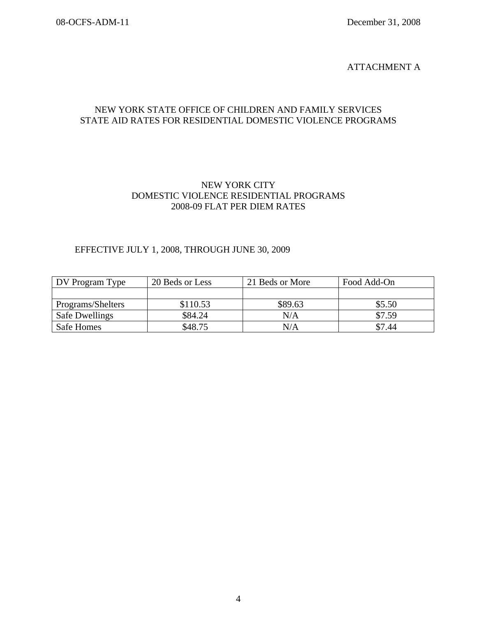### ATTACHMENT A

# NEW YORK STATE OFFICE OF CHILDREN AND FAMILY SERVICES STATE AID RATES FOR RESIDENTIAL DOMESTIC VIOLENCE PROGRAMS

# NEW YORK CITY DOMESTIC VIOLENCE RESIDENTIAL PROGRAMS 2008-09 FLAT PER DIEM RATES

## EFFECTIVE JULY 1, 2008, THROUGH JUNE 30, 2009

| DV Program Type       | 20 Beds or Less | 21 Beds or More | Food Add-On |
|-----------------------|-----------------|-----------------|-------------|
|                       |                 |                 |             |
| Programs/Shelters     | \$110.53        | \$89.63         | \$5.50      |
| <b>Safe Dwellings</b> | \$84.24         | N/A             | \$7.59      |
| Safe Homes            | \$48.75         | N/A             | \$7.44      |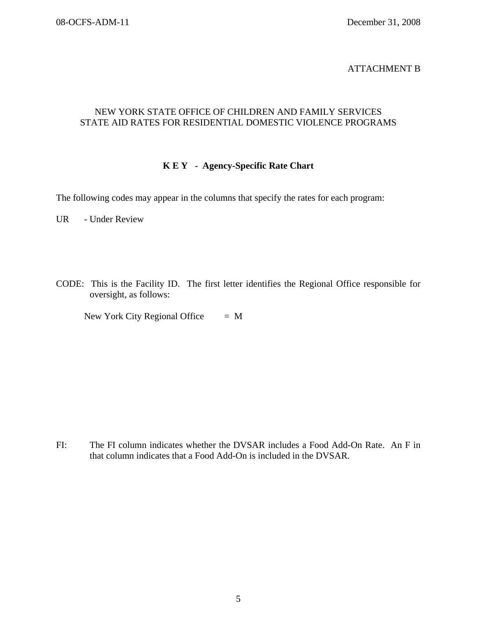## ATTACHMENT B

# NEW YORK STATE OFFICE OF CHILDREN AND FAMILY SERVICES STATE AID RATES FOR RESIDENTIAL DOMESTIC VIOLENCE PROGRAMS

## **K E Y - Agency-Specific Rate Chart**

The following codes may appear in the columns that specify the rates for each program:

UR - Under Review

CODE: This is the Facility ID. The first letter identifies the Regional Office responsible for oversight, as follows:

New York City Regional Office  $= M$ 

FI: The FI column indicates whether the DVSAR includes a Food Add-On Rate. An F in that column indicates that a Food Add-On is included in the DVSAR.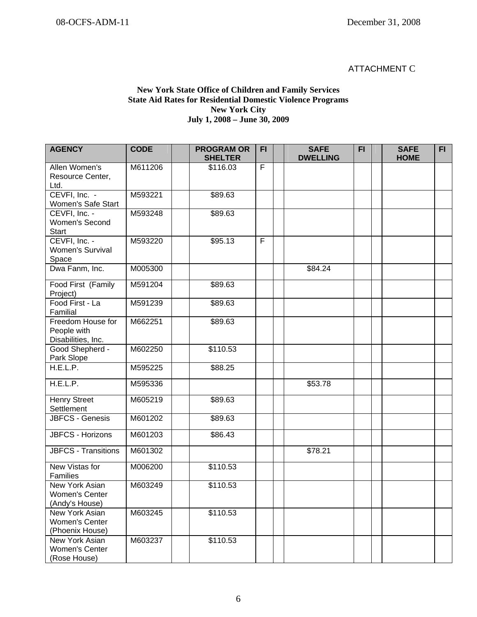## ATTACHMENT C

### **New York State Office of Children and Family Services State Aid Rates for Residential Domestic Violence Programs New York City July 1, 2008 – June 30, 2009**

| <b>AGENCY</b>                                              | <b>CODE</b> | <b>PROGRAM OR</b><br><b>SHELTER</b> | <b>FI</b>      | <b>SAFE</b><br><b>DWELLING</b> | F1 | <b>SAFE</b><br><b>HOME</b> | FI. |
|------------------------------------------------------------|-------------|-------------------------------------|----------------|--------------------------------|----|----------------------------|-----|
| Allen Women's<br>Resource Center,<br>Ltd.                  | M611206     | \$116.03                            | $\overline{F}$ |                                |    |                            |     |
| CEVFI, Inc. -<br>Women's Safe Start                        | M593221     | \$89.63                             |                |                                |    |                            |     |
| CEVFI, Inc. -<br>Women's Second<br><b>Start</b>            | M593248     | \$89.63                             |                |                                |    |                            |     |
| CEVFI, Inc. -<br>Women's Survival<br>Space                 | M593220     | \$95.13                             | F              |                                |    |                            |     |
| Dwa Fanm, Inc.                                             | M005300     |                                     |                | \$84.24                        |    |                            |     |
| Food First (Family<br>Project)                             | M591204     | \$89.63                             |                |                                |    |                            |     |
| Food First - La<br>Familial                                | M591239     | \$89.63                             |                |                                |    |                            |     |
| Freedom House for<br>People with<br>Disabilities, Inc.     | M662251     | \$89.63                             |                |                                |    |                            |     |
| Good Shepherd -<br>Park Slope                              | M602250     | \$110.53                            |                |                                |    |                            |     |
| H.E.L.P.                                                   | M595225     | \$88.25                             |                |                                |    |                            |     |
| H.E.L.P.                                                   | M595336     |                                     |                | \$53.78                        |    |                            |     |
| <b>Henry Street</b><br>Settlement                          | M605219     | \$89.63                             |                |                                |    |                            |     |
| <b>JBFCS - Genesis</b>                                     | M601202     | \$89.63                             |                |                                |    |                            |     |
| JBFCS - Horizons                                           | M601203     | \$86.43                             |                |                                |    |                            |     |
| <b>JBFCS - Transitions</b>                                 | M601302     |                                     |                | \$78.21                        |    |                            |     |
| New Vistas for<br>Families                                 | M006200     | \$110.53                            |                |                                |    |                            |     |
| New York Asian<br>Women's Center<br>(Andy's House)         | M603249     | \$110.53                            |                |                                |    |                            |     |
| New York Asian<br><b>Women's Center</b><br>(Phoenix House) | M603245     | \$110.53                            |                |                                |    |                            |     |
| New York Asian<br>Women's Center<br>(Rose House)           | M603237     | \$110.53                            |                |                                |    |                            |     |